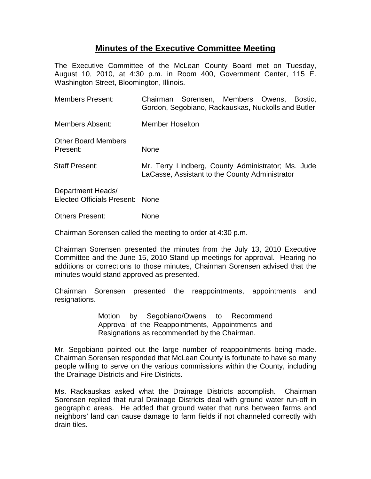## **Minutes of the Executive Committee Meeting**

The Executive Committee of the McLean County Board met on Tuesday, August 10, 2010, at 4:30 p.m. in Room 400, Government Center, 115 E. Washington Street, Bloomington, Illinois.

| <b>Members Present:</b>                              | Chairman Sorensen, Members Owens, Bostic,<br>Gordon, Segobiano, Rackauskas, Nuckolls and Butler      |  |  |  |  |
|------------------------------------------------------|------------------------------------------------------------------------------------------------------|--|--|--|--|
| <b>Members Absent:</b>                               | <b>Member Hoselton</b>                                                                               |  |  |  |  |
| <b>Other Board Members</b><br>Present:               | <b>None</b>                                                                                          |  |  |  |  |
| <b>Staff Present:</b>                                | Mr. Terry Lindberg, County Administrator; Ms. Jude<br>LaCasse, Assistant to the County Administrator |  |  |  |  |
| Department Heads/<br>Elected Officials Present: None |                                                                                                      |  |  |  |  |
| <b>Others Present:</b>                               | None                                                                                                 |  |  |  |  |

Chairman Sorensen called the meeting to order at 4:30 p.m.

Chairman Sorensen presented the minutes from the July 13, 2010 Executive Committee and the June 15, 2010 Stand-up meetings for approval. Hearing no additions or corrections to those minutes, Chairman Sorensen advised that the minutes would stand approved as presented.

Chairman Sorensen presented the reappointments, appointments and resignations.

> Motion by Segobiano/Owens to Recommend Approval of the Reappointments, Appointments and Resignations as recommended by the Chairman.

Mr. Segobiano pointed out the large number of reappointments being made. Chairman Sorensen responded that McLean County is fortunate to have so many people willing to serve on the various commissions within the County, including the Drainage Districts and Fire Districts.

Ms. Rackauskas asked what the Drainage Districts accomplish. Chairman Sorensen replied that rural Drainage Districts deal with ground water run-off in geographic areas. He added that ground water that runs between farms and neighbors' land can cause damage to farm fields if not channeled correctly with drain tiles.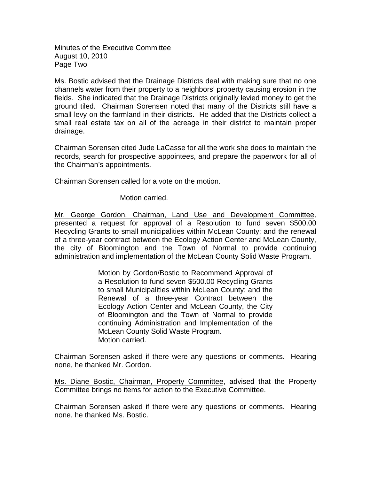Minutes of the Executive Committee August 10, 2010 Page Two

Ms. Bostic advised that the Drainage Districts deal with making sure that no one channels water from their property to a neighbors' property causing erosion in the fields. She indicated that the Drainage Districts originally levied money to get the ground tiled. Chairman Sorensen noted that many of the Districts still have a small levy on the farmland in their districts. He added that the Districts collect a small real estate tax on all of the acreage in their district to maintain proper drainage.

Chairman Sorensen cited Jude LaCasse for all the work she does to maintain the records, search for prospective appointees, and prepare the paperwork for all of the Chairman's appointments.

Chairman Sorensen called for a vote on the motion.

## Motion carried.

Mr. George Gordon, Chairman, Land Use and Development Committee, presented a request for approval of a Resolution to fund seven \$500.00 Recycling Grants to small municipalities within McLean County; and the renewal of a three-year contract between the Ecology Action Center and McLean County, the city of Bloomington and the Town of Normal to provide continuing administration and implementation of the McLean County Solid Waste Program.

> Motion by Gordon/Bostic to Recommend Approval of a Resolution to fund seven \$500.00 Recycling Grants to small Municipalities within McLean County; and the Renewal of a three-year Contract between the Ecology Action Center and McLean County, the City of Bloomington and the Town of Normal to provide continuing Administration and Implementation of the McLean County Solid Waste Program. Motion carried.

Chairman Sorensen asked if there were any questions or comments. Hearing none, he thanked Mr. Gordon.

Ms. Diane Bostic, Chairman, Property Committee, advised that the Property Committee brings no items for action to the Executive Committee.

Chairman Sorensen asked if there were any questions or comments. Hearing none, he thanked Ms. Bostic.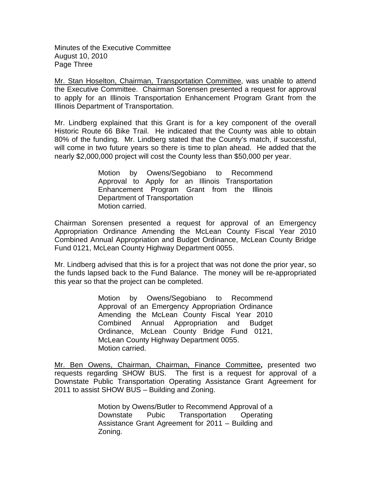Minutes of the Executive Committee August 10, 2010 Page Three

Mr. Stan Hoselton, Chairman, Transportation Committee, was unable to attend the Executive Committee. Chairman Sorensen presented a request for approval to apply for an Illinois Transportation Enhancement Program Grant from the Illinois Department of Transportation.

Mr. Lindberg explained that this Grant is for a key component of the overall Historic Route 66 Bike Trail. He indicated that the County was able to obtain 80% of the funding. Mr. Lindberg stated that the County's match, if successful, will come in two future years so there is time to plan ahead. He added that the nearly \$2,000,000 project will cost the County less than \$50,000 per year.

> Motion by Owens/Segobiano to Recommend Approval to Apply for an Illinois Transportation Enhancement Program Grant from the Illinois Department of Transportation Motion carried.

Chairman Sorensen presented a request for approval of an Emergency Appropriation Ordinance Amending the McLean County Fiscal Year 2010 Combined Annual Appropriation and Budget Ordinance, McLean County Bridge Fund 0121, McLean County Highway Department 0055.

Mr. Lindberg advised that this is for a project that was not done the prior year, so the funds lapsed back to the Fund Balance. The money will be re-appropriated this year so that the project can be completed.

> Motion by Owens/Segobiano to Recommend Approval of an Emergency Appropriation Ordinance Amending the McLean County Fiscal Year 2010 Combined Annual Appropriation and Budget Ordinance, McLean County Bridge Fund 0121, McLean County Highway Department 0055. Motion carried.

Mr. Ben Owens, Chairman, Chairman, Finance Committee**,** presented two requests regarding SHOW BUS. The first is a request for approval of a Downstate Public Transportation Operating Assistance Grant Agreement for 2011 to assist SHOW BUS – Building and Zoning.

> Motion by Owens/Butler to Recommend Approval of a Downstate Pubic Transportation Operating Assistance Grant Agreement for 2011 – Building and Zoning.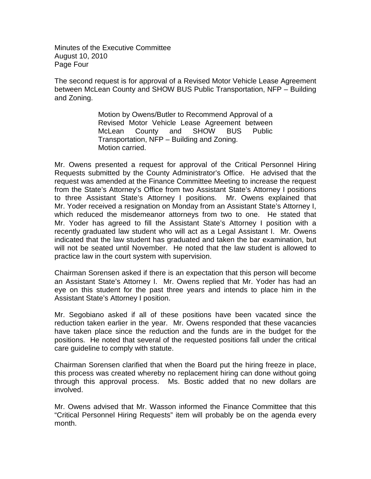Minutes of the Executive Committee August 10, 2010 Page Four

The second request is for approval of a Revised Motor Vehicle Lease Agreement between McLean County and SHOW BUS Public Transportation, NFP – Building and Zoning.

> Motion by Owens/Butler to Recommend Approval of a Revised Motor Vehicle Lease Agreement between McLean County and SHOW BUS Public Transportation, NFP – Building and Zoning. Motion carried.

Mr. Owens presented a request for approval of the Critical Personnel Hiring Requests submitted by the County Administrator's Office. He advised that the request was amended at the Finance Committee Meeting to increase the request from the State's Attorney's Office from two Assistant State's Attorney I positions to three Assistant State's Attorney I positions. Mr. Owens explained that Mr. Yoder received a resignation on Monday from an Assistant State's Attorney I, which reduced the misdemeanor attorneys from two to one. He stated that Mr. Yoder has agreed to fill the Assistant State's Attorney I position with a recently graduated law student who will act as a Legal Assistant I. Mr. Owens indicated that the law student has graduated and taken the bar examination, but will not be seated until November. He noted that the law student is allowed to practice law in the court system with supervision.

Chairman Sorensen asked if there is an expectation that this person will become an Assistant State's Attorney I. Mr. Owens replied that Mr. Yoder has had an eye on this student for the past three years and intends to place him in the Assistant State's Attorney I position.

Mr. Segobiano asked if all of these positions have been vacated since the reduction taken earlier in the year. Mr. Owens responded that these vacancies have taken place since the reduction and the funds are in the budget for the positions. He noted that several of the requested positions fall under the critical care guideline to comply with statute.

Chairman Sorensen clarified that when the Board put the hiring freeze in place, this process was created whereby no replacement hiring can done without going through this approval process. Ms. Bostic added that no new dollars are involved.

Mr. Owens advised that Mr. Wasson informed the Finance Committee that this "Critical Personnel Hiring Requests" item will probably be on the agenda every month.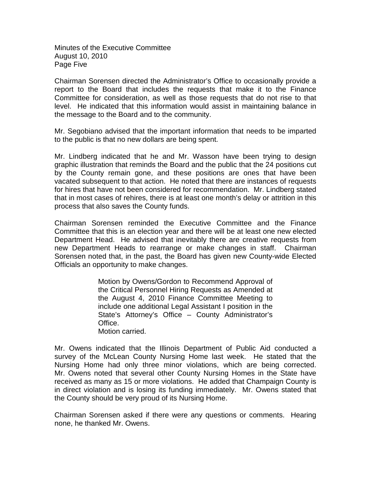Minutes of the Executive Committee August 10, 2010 Page Five

Chairman Sorensen directed the Administrator's Office to occasionally provide a report to the Board that includes the requests that make it to the Finance Committee for consideration, as well as those requests that do not rise to that level. He indicated that this information would assist in maintaining balance in the message to the Board and to the community.

Mr. Segobiano advised that the important information that needs to be imparted to the public is that no new dollars are being spent.

Mr. Lindberg indicated that he and Mr. Wasson have been trying to design graphic illustration that reminds the Board and the public that the 24 positions cut by the County remain gone, and these positions are ones that have been vacated subsequent to that action. He noted that there are instances of requests for hires that have not been considered for recommendation. Mr. Lindberg stated that in most cases of rehires, there is at least one month's delay or attrition in this process that also saves the County funds.

Chairman Sorensen reminded the Executive Committee and the Finance Committee that this is an election year and there will be at least one new elected Department Head. He advised that inevitably there are creative requests from new Department Heads to rearrange or make changes in staff. Chairman Sorensen noted that, in the past, the Board has given new County-wide Elected Officials an opportunity to make changes.

> Motion by Owens/Gordon to Recommend Approval of the Critical Personnel Hiring Requests as Amended at the August 4, 2010 Finance Committee Meeting to include one additional Legal Assistant I position in the State's Attorney's Office – County Administrator's Office. Motion carried.

Mr. Owens indicated that the Illinois Department of Public Aid conducted a survey of the McLean County Nursing Home last week. He stated that the Nursing Home had only three minor violations, which are being corrected. Mr. Owens noted that several other County Nursing Homes in the State have received as many as 15 or more violations. He added that Champaign County is in direct violation and is losing its funding immediately. Mr. Owens stated that the County should be very proud of its Nursing Home.

Chairman Sorensen asked if there were any questions or comments. Hearing none, he thanked Mr. Owens.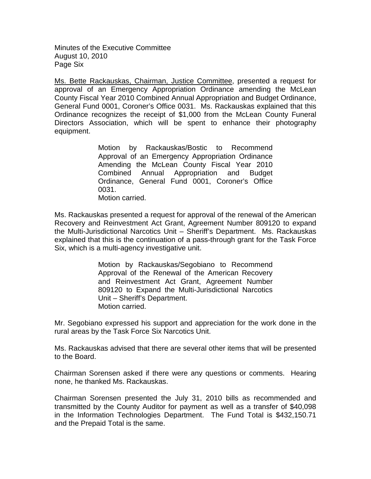Minutes of the Executive Committee August 10, 2010 Page Six

Ms. Bette Rackauskas, Chairman, Justice Committee, presented a request for approval of an Emergency Appropriation Ordinance amending the McLean County Fiscal Year 2010 Combined Annual Appropriation and Budget Ordinance, General Fund 0001, Coroner's Office 0031. Ms. Rackauskas explained that this Ordinance recognizes the receipt of \$1,000 from the McLean County Funeral Directors Association, which will be spent to enhance their photography equipment.

> Motion by Rackauskas/Bostic to Recommend Approval of an Emergency Appropriation Ordinance Amending the McLean County Fiscal Year 2010 Combined Annual Appropriation and Budget Ordinance, General Fund 0001, Coroner's Office 0031. Motion carried.

Ms. Rackauskas presented a request for approval of the renewal of the American Recovery and Reinvestment Act Grant, Agreement Number 809120 to expand the Multi-Jurisdictional Narcotics Unit – Sheriff's Department. Ms. Rackauskas explained that this is the continuation of a pass-through grant for the Task Force Six, which is a multi-agency investigative unit.

> Motion by Rackauskas/Segobiano to Recommend Approval of the Renewal of the American Recovery and Reinvestment Act Grant, Agreement Number 809120 to Expand the Multi-Jurisdictional Narcotics Unit – Sheriff's Department. Motion carried.

Mr. Segobiano expressed his support and appreciation for the work done in the rural areas by the Task Force Six Narcotics Unit.

Ms. Rackauskas advised that there are several other items that will be presented to the Board.

Chairman Sorensen asked if there were any questions or comments. Hearing none, he thanked Ms. Rackauskas.

Chairman Sorensen presented the July 31, 2010 bills as recommended and transmitted by the County Auditor for payment as well as a transfer of \$40,098 in the Information Technologies Department. The Fund Total is \$432,150.71 and the Prepaid Total is the same.